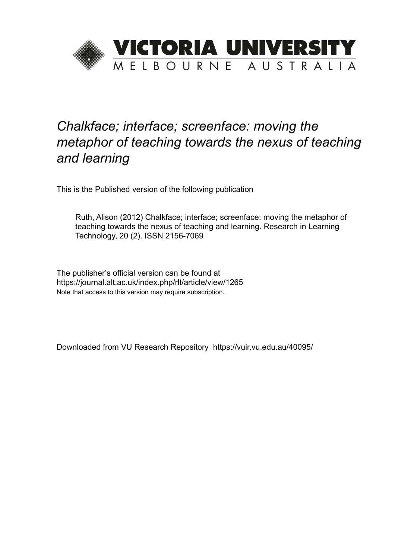

# *Chalkface; interface; screenface: moving the metaphor of teaching towards the nexus of teaching and learning*

This is the Published version of the following publication

Ruth, Alison (2012) Chalkface; interface; screenface: moving the metaphor of teaching towards the nexus of teaching and learning. Research in Learning Technology, 20 (2). ISSN 2156-7069

The publisher's official version can be found at https://journal.alt.ac.uk/index.php/rlt/article/view/1265 Note that access to this version may require subscription.

Downloaded from VU Research Repository https://vuir.vu.edu.au/40095/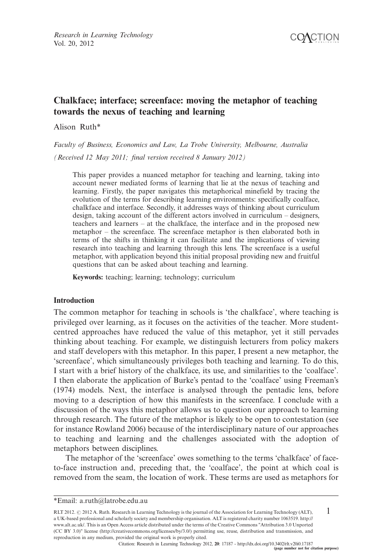

## Chalkface; interface; screenface: moving the metaphor of teaching towards the nexus of teaching and learning

Alison Ruth\*

Faculty of Business, Economics and Law, La Trobe University, Melbourne, Australia

(Received 12 May 2011; final version received 8 January 2012)

This paper provides a nuanced metaphor for teaching and learning, taking into account newer mediated forms of learning that lie at the nexus of teaching and learning. Firstly, the paper navigates this metaphorical minefield by tracing the evolution of the terms for describing learning environments: specifically coalface, chalkface and interface. Secondly, it addresses ways of thinking about curriculum design, taking account of the different actors involved in curriculum - designers, teachers and learners - at the chalkface, the interface and in the proposed new metaphor - the screenface. The screenface metaphor is then elaborated both in terms of the shifts in thinking it can facilitate and the implications of viewing research into teaching and learning through this lens. The screenface is a useful metaphor, with application beyond this initial proposal providing new and fruitful questions that can be asked about teaching and learning.

Keywords: teaching; learning; technology; curriculum

### Introduction

The common metaphor for teaching in schools is 'the chalkface', where teaching is privileged over learning, as it focuses on the activities of the teacher. More studentcentred approaches have reduced the value of this metaphor, yet it still pervades thinking about teaching. For example, we distinguish lecturers from policy makers and staff developers with this metaphor. In this paper, I present a new metaphor, the 'screenface', which simultaneously privileges both teaching and learning. To do this, I start with a brief history of the chalkface, its use, and similarities to the 'coalface'. I then elaborate the application of Burke's pentad to the 'coalface' using Freeman's (1974) models. Next, the interface is analysed through the pentadic lens, before moving to a description of how this manifests in the screenface. I conclude with a discussion of the ways this metaphor allows us to question our approach to learning through research. The future of the metaphor is likely to be open to contestation (see for instance Rowland 2006) because of the interdisciplinary nature of our approaches to teaching and learning and the challenges associated with the adoption of metaphors between disciplines.

The metaphor of the 'screenface' owes something to the terms 'chalkface' of faceto-face instruction and, preceding that, the 'coalface', the point at which coal is removed from the seam, the location of work. These terms are used as metaphors for

<sup>\*</sup>Email: a.ruth@latrobe.edu.au

RLT 2012.  $\oslash$  2012 A. Ruth. Research in Learning Technology is the journal of the Association for Learning Technology (ALT), a UK-based professional and scholarly society and membership organisation. ALT is registered charity number 1063519. http:// www.alt.ac.uk/. This is an Open Access article distributed under the terms of the Creative Commons "Attribution 3.0 Unported (CC BY 3.0)" license (http://creativecommons.org/licenses/by/3.0/) permitting use, reuse, distribution and transmission, and reproduction in any medium, provided the original work is properly cited. 1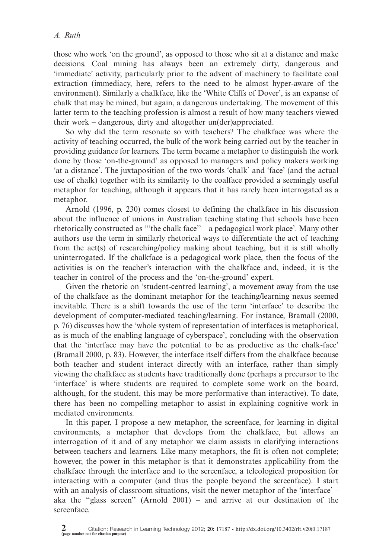those who work 'on the ground', as opposed to those who sit at a distance and make decisions. Coal mining has always been an extremely dirty, dangerous and 'immediate' activity, particularly prior to the advent of machinery to facilitate coal extraction (immediacy, here, refers to the need to be almost hyper-aware of the environment). Similarly a chalkface, like the 'White Cliffs of Dover', is an expanse of chalk that may be mined, but again, a dangerous undertaking. The movement of this latter term to the teaching profession is almost a result of how many teachers viewed their work - dangerous, dirty and altogether un(der)appreciated.

So why did the term resonate so with teachers? The chalkface was where the activity of teaching occurred, the bulk of the work being carried out by the teacher in providing guidance for learners. The term became a metaphor to distinguish the work done by those 'on-the-ground' as opposed to managers and policy makers working 'at a distance'. The juxtaposition of the two words 'chalk' and 'face' (and the actual use of chalk) together with its similarity to the coalface provided a seemingly useful metaphor for teaching, although it appears that it has rarely been interrogated as a metaphor.

Arnold (1996, p. 230) comes closest to defining the chalkface in his discussion about the influence of unions in Australian teaching stating that schools have been rhetorically constructed as '''the chalk face'' - a pedagogical work place'. Many other authors use the term in similarly rhetorical ways to differentiate the act of teaching from the act(s) of researching/policy making about teaching, but it is still wholly uninterrogated. If the chalkface is a pedagogical work place, then the focus of the activities is on the teacher's interaction with the chalkface and, indeed, it is the teacher in control of the process and the 'on-the-ground' expert.

Given the rhetoric on 'student-centred learning', a movement away from the use of the chalkface as the dominant metaphor for the teaching/learning nexus seemed inevitable. There is a shift towards the use of the term 'interface' to describe the development of computer-mediated teaching/learning. For instance, Bramall (2000, p. 76) discusses how the 'whole system of representation of interfaces is metaphorical, as is much of the enabling language of cyberspace', concluding with the observation that the 'interface may have the potential to be as productive as the chalk-face' (Bramall 2000, p. 83). However, the interface itself differs from the chalkface because both teacher and student interact directly with an interface, rather than simply viewing the chalkface as students have traditionally done (perhaps a precursor to the 'interface' is where students are required to complete some work on the board, although, for the student, this may be more performative than interactive). To date, there has been no compelling metaphor to assist in explaining cognitive work in mediated environments.

In this paper, I propose a new metaphor, the screenface, for learning in digital environments, a metaphor that develops from the chalkface, but allows an interrogation of it and of any metaphor we claim assists in clarifying interactions between teachers and learners. Like many metaphors, the fit is often not complete; however, the power in this metaphor is that it demonstrates applicability from the chalkface through the interface and to the screenface, a teleological proposition for interacting with a computer (and thus the people beyond the screenface). I start with an analysis of classroom situations, visit the newer metaphor of the 'interface' aka the ''glass screen'' (Arnold 2001) - and arrive at our destination of the screenface.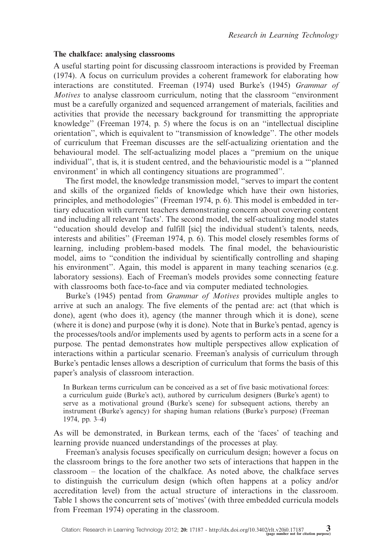#### The chalkface: analysing classrooms

A useful starting point for discussing classroom interactions is provided by Freeman (1974). A focus on curriculum provides a coherent framework for elaborating how interactions are constituted. Freeman (1974) used Burke's (1945) Grammar of Motives to analyse classroom curriculum, noting that the classroom "environment" must be a carefully organized and sequenced arrangement of materials, facilities and activities that provide the necessary background for transmitting the appropriate knowledge'' (Freeman 1974, p. 5) where the focus is on an ''intellectual discipline orientation'', which is equivalent to ''transmission of knowledge''. The other models of curriculum that Freeman discusses are the self-actualizing orientation and the behavioural model. The self-actualizing model places a ''premium on the unique individual'', that is, it is student centred, and the behaviouristic model is a '''planned environment' in which all contingency situations are programmed''.

The first model, the knowledge transmission model, ''serves to impart the content and skills of the organized fields of knowledge which have their own histories, principles, and methodologies'' (Freeman 1974, p. 6). This model is embedded in tertiary education with current teachers demonstrating concern about covering content and including all relevant 'facts'. The second model, the self-actualizing model states ''education should develop and fulfill [sic] the individual student's talents, needs, interests and abilities'' (Freeman 1974, p. 6). This model closely resembles forms of learning, including problem-based models. The final model, the behaviouristic model, aims to ''condition the individual by scientifically controlling and shaping his environment". Again, this model is apparent in many teaching scenarios (e.g. laboratory sessions). Each of Freeman's models provides some connecting feature with classrooms both face-to-face and via computer mediated technologies.

Burke's (1945) pentad from Grammar of Motives provides multiple angles to arrive at such an analogy. The five elements of the pentad are: act (that which is done), agent (who does it), agency (the manner through which it is done), scene (where it is done) and purpose (why it is done). Note that in Burke's pentad, agency is the processes/tools and/or implements used by agents to perform acts in a scene for a purpose. The pentad demonstrates how multiple perspectives allow explication of interactions within a particular scenario. Freeman's analysis of curriculum through Burke's pentadic lenses allows a description of curriculum that forms the basis of this paper's analysis of classroom interaction.

In Burkean terms curriculum can be conceived as a set of five basic motivational forces: a curriculum guide (Burke's act), authored by curriculum designers (Burke's agent) to serve as a motivational ground (Burke's scene) for subsequent actions, thereby an instrument (Burke's agency) for shaping human relations (Burke's purpose) (Freeman 1974, pp. 3-4)

As will be demonstrated, in Burkean terms, each of the 'faces' of teaching and learning provide nuanced understandings of the processes at play.

Freeman's analysis focuses specifically on curriculum design; however a focus on the classroom brings to the fore another two sets of interactions that happen in the classroom - the location of the chalkface. As noted above, the chalkface serves to distinguish the curriculum design (which often happens at a policy and/or accreditation level) from the actual structure of interactions in the classroom. Table 1 shows the concurrent sets of 'motives' (with three embedded curricula models from Freeman 1974) operating in the classroom.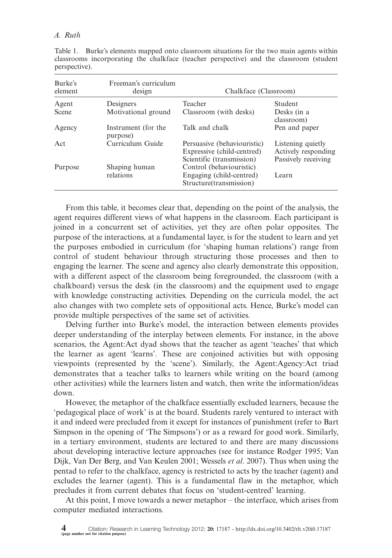## A. Ruth

| Burke's<br>element | Freeman's curriculum<br>design  | Chalkface (Classroom)                                                                  |                                                                 |  |  |
|--------------------|---------------------------------|----------------------------------------------------------------------------------------|-----------------------------------------------------------------|--|--|
| Agent              | Designers                       | Teacher                                                                                | Student                                                         |  |  |
| Scene              | Motivational ground             | Classroom (with desks)                                                                 | Desks (in a<br>classroom)                                       |  |  |
| Agency             | Instrument (for the<br>purpose) | Talk and chalk                                                                         | Pen and paper                                                   |  |  |
| Act                | Curriculum Guide                | Persuasive (behaviouristic)<br>Expressive (child-centred)<br>Scientific (transmission) | Listening quietly<br>Actively responding<br>Passively receiving |  |  |
| Purpose            | Shaping human<br>relations      | Control (behaviouristic)<br>Engaging (child-centred)<br>Structure(transmission)        | Learn                                                           |  |  |

Table 1. Burke's elements mapped onto classroom situations for the two main agents within classrooms incorporating the chalkface (teacher perspective) and the classroom (student perspective).

From this table, it becomes clear that, depending on the point of the analysis, the agent requires different views of what happens in the classroom. Each participant is joined in a concurrent set of activities, yet they are often polar opposites. The purpose of the interactions, at a fundamental layer, is for the student to learn and yet the purposes embodied in curriculum (for 'shaping human relations') range from control of student behaviour through structuring those processes and then to engaging the learner. The scene and agency also clearly demonstrate this opposition, with a different aspect of the classroom being foregrounded, the classroom (with a chalkboard) versus the desk (in the classroom) and the equipment used to engage with knowledge constructing activities. Depending on the curricula model, the act also changes with two complete sets of oppositional acts. Hence, Burke's model can provide multiple perspectives of the same set of activities.

Delving further into Burke's model, the interaction between elements provides deeper understanding of the interplay between elements. For instance, in the above scenarios, the Agent:Act dyad shows that the teacher as agent 'teaches' that which the learner as agent 'learns'. These are conjoined activities but with opposing viewpoints (represented by the 'scene'). Similarly, the Agent:Agency:Act triad demonstrates that a teacher talks to learners while writing on the board (among other activities) while the learners listen and watch, then write the information/ideas down.

However, the metaphor of the chalkface essentially excluded learners, because the 'pedagogical place of work' is at the board. Students rarely ventured to interact with it and indeed were precluded from it except for instances of punishment (refer to Bart Simpson in the opening of 'The Simpsons') or as a reward for good work. Similarly, in a tertiary environment, students are lectured to and there are many discussions about developing interactive lecture approaches (see for instance Rodger 1995; Van Dijk, Van Der Berg, and Van Keulen 2001; Wessels et al. 2007). Thus when using the pentad to refer to the chalkface, agency is restricted to acts by the teacher (agent) and excludes the learner (agent). This is a fundamental flaw in the metaphor, which precludes it from current debates that focus on 'student-centred' learning.

At this point, I move towards a newer metaphor – the interface, which arises from computer mediated interactions.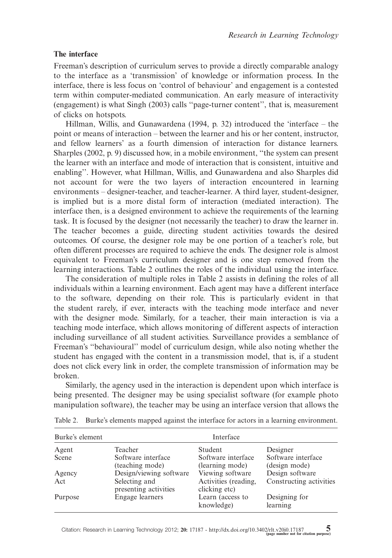## The interface

Freeman's description of curriculum serves to provide a directly comparable analogy to the interface as a 'transmission' of knowledge or information process. In the interface, there is less focus on 'control of behaviour' and engagement is a contested term within computer-mediated communication. An early measure of interactivity (engagement) is what Singh (2003) calls ''page-turner content'', that is, measurement of clicks on hotspots.

Hillman, Willis, and Gunawardena (1994, p. 32) introduced the 'interface – the point or means of interaction - between the learner and his or her content, instructor, and fellow learners' as a fourth dimension of interaction for distance learners. Sharples (2002, p. 9) discussed how, in a mobile environment, ''the system can present the learner with an interface and mode of interaction that is consistent, intuitive and enabling''. However, what Hillman, Willis, and Gunawardena and also Sharples did not account for were the two layers of interaction encountered in learning environments - designer-teacher, and teacher-learner. A third layer, student-designer, is implied but is a more distal form of interaction (mediated interaction). The interface then, is a designed environment to achieve the requirements of the learning task. It is focused by the designer (not necessarily the teacher) to draw the learner in. The teacher becomes a guide, directing student activities towards the desired outcomes. Of course, the designer role may be one portion of a teacher's role, but often different processes are required to achieve the ends. The designer role is almost equivalent to Freeman's curriculum designer and is one step removed from the learning interactions. Table 2 outlines the roles of the individual using the interface.

The consideration of multiple roles in Table 2 assists in defining the roles of all individuals within a learning environment. Each agent may have a different interface to the software, depending on their role. This is particularly evident in that the student rarely, if ever, interacts with the teaching mode interface and never with the designer mode. Similarly, for a teacher, their main interaction is via a teaching mode interface, which allows monitoring of different aspects of interaction including surveillance of all student activities. Surveillance provides a semblance of Freeman's ''behavioural'' model of curriculum design, while also noting whether the student has engaged with the content in a transmission model, that is, if a student does not click every link in order, the complete transmission of information may be broken.

Similarly, the agency used in the interaction is dependent upon which interface is being presented. The designer may be using specialist software (for example photo manipulation software), the teacher may be using an interface version that allows the

| Burke's element |                                                                   | Interface                                                 |                                            |
|-----------------|-------------------------------------------------------------------|-----------------------------------------------------------|--------------------------------------------|
| Agent           | Teacher                                                           | Student                                                   | Designer                                   |
| Scene           | Software interface<br>(teaching mode)                             | Software interface<br>(learning mode)                     | Software interface<br>(design mode)        |
| Agency<br>Act   | Design/viewing software<br>Selecting and<br>presenting activities | Viewing software<br>Activities (reading,<br>clicking etc) | Design software<br>Constructing activities |
| Purpose         | Engage learners                                                   | Learn (access to<br>knowledge)                            | Designing for<br>learning                  |

| Table 2. Burke's elements mapped against the interface for actors in a learning environment. |  |  |  |  |
|----------------------------------------------------------------------------------------------|--|--|--|--|
|                                                                                              |  |  |  |  |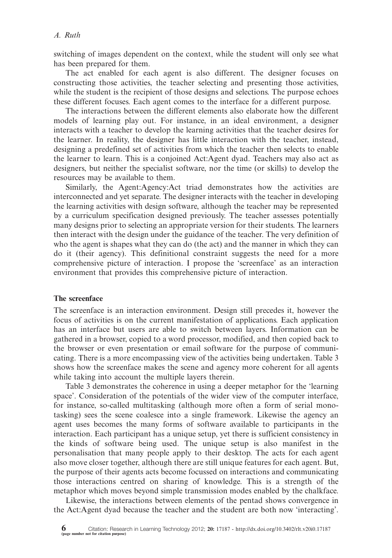switching of images dependent on the context, while the student will only see what has been prepared for them.

The act enabled for each agent is also different. The designer focuses on constructing those activities, the teacher selecting and presenting those activities, while the student is the recipient of those designs and selections. The purpose echoes these different focuses. Each agent comes to the interface for a different purpose.

The interactions between the different elements also elaborate how the different models of learning play out. For instance, in an ideal environment, a designer interacts with a teacher to develop the learning activities that the teacher desires for the learner. In reality, the designer has little interaction with the teacher, instead, designing a predefined set of activities from which the teacher then selects to enable the learner to learn. This is a conjoined Act:Agent dyad. Teachers may also act as designers, but neither the specialist software, nor the time (or skills) to develop the resources may be available to them.

Similarly, the Agent:Agency:Act triad demonstrates how the activities are interconnected and yet separate. The designer interacts with the teacher in developing the learning activities with design software, although the teacher may be represented by a curriculum specification designed previously. The teacher assesses potentially many designs prior to selecting an appropriate version for their students. The learners then interact with the design under the guidance of the teacher. The very definition of who the agent is shapes what they can do (the act) and the manner in which they can do it (their agency). This definitional constraint suggests the need for a more comprehensive picture of interaction. I propose the 'screenface' as an interaction environment that provides this comprehensive picture of interaction.

### The screenface

The screenface is an interaction environment. Design still precedes it, however the focus of activities is on the current manifestation of applications. Each application has an interface but users are able to switch between layers. Information can be gathered in a browser, copied to a word processor, modified, and then copied back to the browser or even presentation or email software for the purpose of communicating. There is a more encompassing view of the activities being undertaken. Table 3 shows how the screenface makes the scene and agency more coherent for all agents while taking into account the multiple layers therein.

Table 3 demonstrates the coherence in using a deeper metaphor for the 'learning space'. Consideration of the potentials of the wider view of the computer interface, for instance, so-called multitasking (although more often a form of serial monotasking) sees the scene coalesce into a single framework. Likewise the agency an agent uses becomes the many forms of software available to participants in the interaction. Each participant has a unique setup, yet there is sufficient consistency in the kinds of software being used. The unique setup is also manifest in the personalisation that many people apply to their desktop. The acts for each agent also move closer together, although there are still unique features for each agent. But, the purpose of their agents acts become focussed on interactions and communicating those interactions centred on sharing of knowledge. This is a strength of the metaphor which moves beyond simple transmission modes enabled by the chalkface.

Likewise, the interactions between elements of the pentad shows convergence in the Act:Agent dyad because the teacher and the student are both now 'interacting'.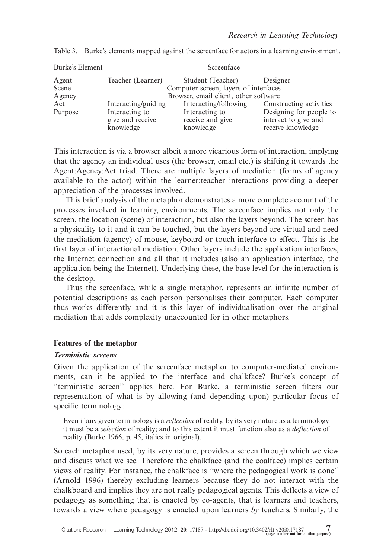| Burke's Element |                                                 | Screenface                                      |                                                                      |  |  |
|-----------------|-------------------------------------------------|-------------------------------------------------|----------------------------------------------------------------------|--|--|
| Agent           | Teacher (Learner)                               | Student (Teacher)                               | Designer                                                             |  |  |
| Scene           | Computer screen, layers of interfaces           |                                                 |                                                                      |  |  |
| Agency          | Browser, email client, other software           |                                                 |                                                                      |  |  |
| Act             | Interacting/guiding                             | Interacting/following                           | Constructing activities                                              |  |  |
| Purpose         | Interacting to<br>give and receive<br>knowledge | Interacting to<br>receive and give<br>knowledge | Designing for people to<br>interact to give and<br>receive knowledge |  |  |

Table 3. Burke's elements mapped against the screenface for actors in a learning environment.

This interaction is via a browser albeit a more vicarious form of interaction, implying that the agency an individual uses (the browser, email etc.) is shifting it towards the Agent:Agency:Act triad. There are multiple layers of mediation (forms of agency available to the actor) within the learner:teacher interactions providing a deeper appreciation of the processes involved.

This brief analysis of the metaphor demonstrates a more complete account of the processes involved in learning environments. The screenface implies not only the screen, the location (scene) of interaction, but also the layers beyond. The screen has a physicality to it and it can be touched, but the layers beyond are virtual and need the mediation (agency) of mouse, keyboard or touch interface to effect. This is the first layer of interactional mediation. Other layers include the application interfaces, the Internet connection and all that it includes (also an application interface, the application being the Internet). Underlying these, the base level for the interaction is the desktop.

Thus the screenface, while a single metaphor, represents an infinite number of potential descriptions as each person personalises their computer. Each computer thus works differently and it is this layer of individualisation over the original mediation that adds complexity unaccounted for in other metaphors.

### Features of the metaphor

## Terministic screens

Given the application of the screenface metaphor to computer-mediated environments, can it be applied to the interface and chalkface? Burke's concept of ''terministic screen'' applies here. For Burke, a terministic screen filters our representation of what is by allowing (and depending upon) particular focus of specific terminology:

Even if any given terminology is a *reflection* of reality, by its very nature as a terminology it must be a *selection* of reality; and to this extent it must function also as a *deflection* of reality (Burke 1966, p. 45, italics in original).

So each metaphor used, by its very nature, provides a screen through which we view and discuss what we see. Therefore the chalkface (and the coalface) implies certain views of reality. For instance, the chalkface is ''where the pedagogical work is done'' (Arnold 1996) thereby excluding learners because they do not interact with the chalkboard and implies they are not really pedagogical agents. This deflects a view of pedagogy as something that is enacted by co-agents, that is learners and teachers, towards a view where pedagogy is enacted upon learners by teachers. Similarly, the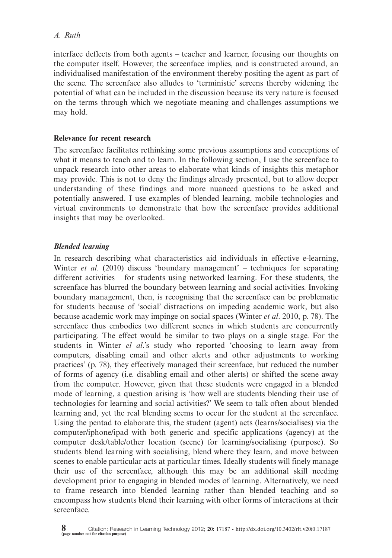## A. Ruth

interface deflects from both agents – teacher and learner, focusing our thoughts on the computer itself. However, the screenface implies, and is constructed around, an individualised manifestation of the environment thereby positing the agent as part of the scene. The screenface also alludes to 'terministic' screens thereby widening the potential of what can be included in the discussion because its very nature is focused on the terms through which we negotiate meaning and challenges assumptions we may hold.

## Relevance for recent research

The screenface facilitates rethinking some previous assumptions and conceptions of what it means to teach and to learn. In the following section, I use the screenface to unpack research into other areas to elaborate what kinds of insights this metaphor may provide. This is not to deny the findings already presented, but to allow deeper understanding of these findings and more nuanced questions to be asked and potentially answered. I use examples of blended learning, mobile technologies and virtual environments to demonstrate that how the screenface provides additional insights that may be overlooked.

## Blended learning

In research describing what characteristics aid individuals in effective e-learning, Winter et al. (2010) discuss 'boundary management' – techniques for separating different activities – for students using networked learning. For these students, the screenface has blurred the boundary between learning and social activities. Invoking boundary management, then, is recognising that the screenface can be problematic for students because of 'social' distractions on impeding academic work, but also because academic work may impinge on social spaces (Winter et al. 2010, p. 78). The screenface thus embodies two different scenes in which students are concurrently participating. The effect would be similar to two plays on a single stage. For the students in Winter el al.'s study who reported 'choosing to learn away from computers, disabling email and other alerts and other adjustments to working practices' (p. 78), they effectively managed their screenface, but reduced the number of forms of agency (i.e. disabling email and other alerts) or shifted the scene away from the computer. However, given that these students were engaged in a blended mode of learning, a question arising is 'how well are students blending their use of technologies for learning and social activities?' We seem to talk often about blended learning and, yet the real blending seems to occur for the student at the screenface. Using the pentad to elaborate this, the student (agent) acts (learns/socialises) via the computer/iphone/ipad with both generic and specific applications (agency) at the computer desk/table/other location (scene) for learning/socialising (purpose). So students blend learning with socialising, blend where they learn, and move between scenes to enable particular acts at particular times. Ideally students will finely manage their use of the screenface, although this may be an additional skill needing development prior to engaging in blended modes of learning. Alternatively, we need to frame research into blended learning rather than blended teaching and so encompass how students blend their learning with other forms of interactions at their screenface.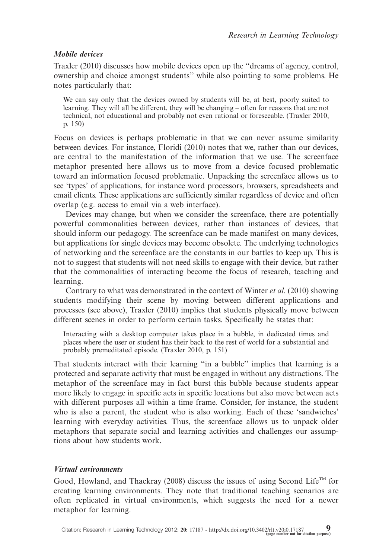## Mobile devices

Traxler (2010) discusses how mobile devices open up the ''dreams of agency, control, ownership and choice amongst students'' while also pointing to some problems. He notes particularly that:

We can say only that the devices owned by students will be, at best, poorly suited to learning. They will all be different, they will be changing – often for reasons that are not technical, not educational and probably not even rational or foreseeable. (Traxler 2010, p. 150)

Focus on devices is perhaps problematic in that we can never assume similarity between devices. For instance, Floridi (2010) notes that we, rather than our devices, are central to the manifestation of the information that we use. The screenface metaphor presented here allows us to move from a device focused problematic toward an information focused problematic. Unpacking the screenface allows us to see 'types' of applications, for instance word processors, browsers, spreadsheets and email clients. These applications are sufficiently similar regardless of device and often overlap (e.g. access to email via a web interface).

Devices may change, but when we consider the screenface, there are potentially powerful commonalities between devices, rather than instances of devices, that should inform our pedagogy. The screenface can be made manifest on many devices, but applications for single devices may become obsolete. The underlying technologies of networking and the screenface are the constants in our battles to keep up. This is not to suggest that students will not need skills to engage with their device, but rather that the commonalities of interacting become the focus of research, teaching and learning.

Contrary to what was demonstrated in the context of Winter *et al.* (2010) showing students modifying their scene by moving between different applications and processes (see above), Traxler (2010) implies that students physically move between different scenes in order to perform certain tasks. Specifically he states that:

Interacting with a desktop computer takes place in a bubble, in dedicated times and places where the user or student has their back to the rest of world for a substantial and probably premeditated episode. (Traxler 2010, p. 151)

That students interact with their learning "in a bubble" implies that learning is a protected and separate activity that must be engaged in without any distractions. The metaphor of the screenface may in fact burst this bubble because students appear more likely to engage in specific acts in specific locations but also move between acts with different purposes all within a time frame. Consider, for instance, the student who is also a parent, the student who is also working. Each of these 'sandwiches' learning with everyday activities. Thus, the screenface allows us to unpack older metaphors that separate social and learning activities and challenges our assumptions about how students work.

## Virtual environments

Good, Howland, and Thackray (2008) discuss the issues of using Second Life<sup>TM</sup> for creating learning environments. They note that traditional teaching scenarios are often replicated in virtual environments, which suggests the need for a newer metaphor for learning.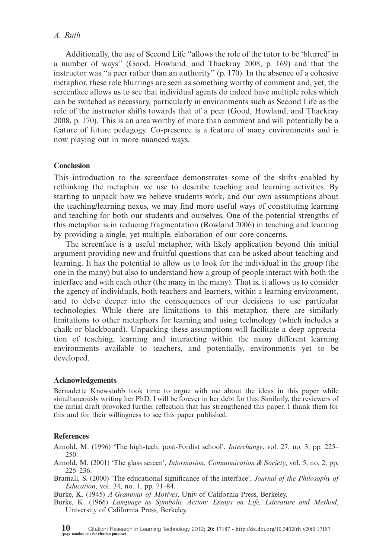## A. Ruth

Additionally, the use of Second Life ''allows the role of the tutor to be 'blurred' in a number of ways'' (Good, Howland, and Thackray 2008, p. 169) and that the instructor was ''a peer rather than an authority'' (p. 170). In the absence of a cohesive metaphor, these role blurrings are seen as something worthy of comment and, yet, the screenface allows us to see that individual agents do indeed have multiple roles which can be switched as necessary, particularly in environments such as Second Life as the role of the instructor shifts towards that of a peer (Good, Howland, and Thackray 2008, p. 170). This is an area worthy of more than comment and will potentially be a feature of future pedagogy. Co-presence is a feature of many environments and is now playing out in more nuanced ways.

## **Conclusion**

This introduction to the screenface demonstrates some of the shifts enabled by rethinking the metaphor we use to describe teaching and learning activities. By starting to unpack how we believe students work, and our own assumptions about the teaching/learning nexus, we may find more useful ways of constituting learning and teaching for both our students and ourselves. One of the potential strengths of this metaphor is in reducing fragmentation (Rowland 2006) in teaching and learning by providing a single, yet multiple, elaboration of our core concerns.

The screenface is a useful metaphor, with likely application beyond this initial argument providing new and fruitful questions that can be asked about teaching and learning. It has the potential to allow us to look for the individual in the group (the one in the many) but also to understand how a group of people interact with both the interface and with each other (the many in the many). That is, it allows us to consider the agency of individuals, both teachers and learners, within a learning environment, and to delve deeper into the consequences of our decisions to use particular technologies. While there are limitations to this metaphor, there are similarly limitations to other metaphors for learning and using technology (which includes a chalk or blackboard). Unpacking these assumptions will facilitate a deep appreciation of teaching, learning and interacting within the many different learning environments available to teachers, and potentially, environments yet to be developed.

## Acknowledgements

Bernadette Knewstubb took time to argue with me about the ideas in this paper while simultaneously writing her PhD. I will be forever in her debt for this. Similarly, the reviewers of the initial draft provoked further reflection that has strengthened this paper. I thank them for this and for their willingness to see this paper published.

## References

Arnold, M. (1996) 'The high-tech, post-Fordist school', *Interchange*, vol. 27, no. 3, pp. 225– 250.

Arnold, M. (2001) 'The glass screen', *Information, Communication & Society*, vol. 5, no. 2, pp. 225-236.

Bramall, S. (2000) 'The educational significance of the interface', *Journal of the Philosophy of* Education, vol. 34, no. 1, pp. 71-84.

Burke, K. (1945) A Grammar of Motives, Univ of California Press, Berkeley.

Burke, K. (1966) Language as Symbolic Action: Essays on Life, Literature and Method, University of California Press, Berkeley.